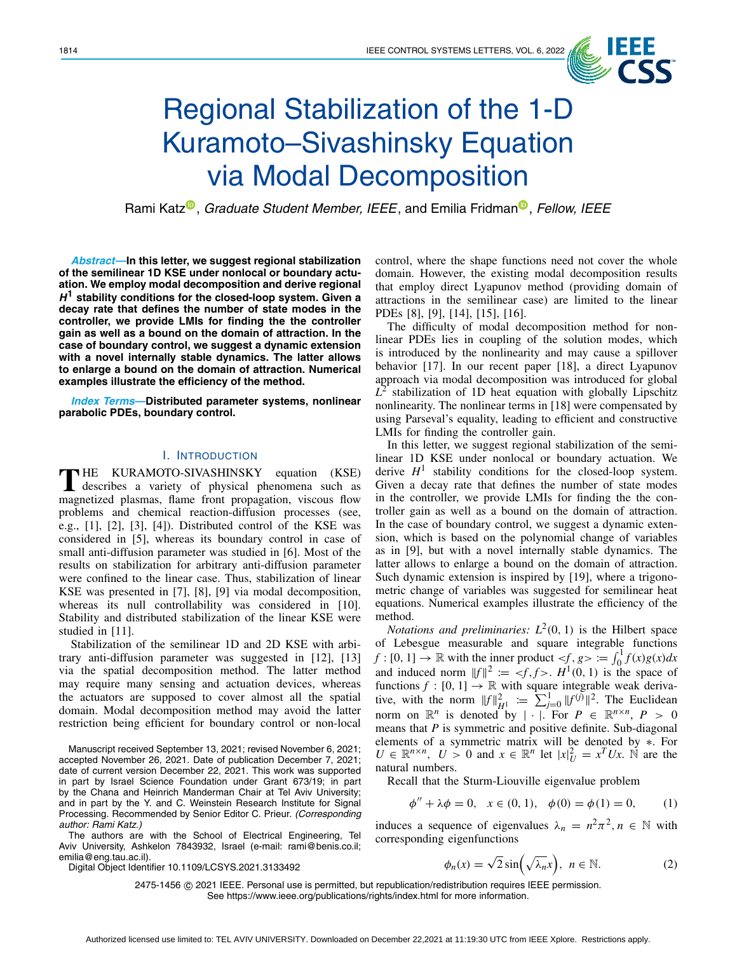

# Regional Stabilization of the 1-D Kuramoto–Sivashinsky Equation via Modal Decomposition

Rami Kat[z](https://orcid.org/0000-0002-8010-846)<sup>®</sup>[,](https://orcid.org/0000-0002-8773-9494) *Graduate Student Member, IEEE*, and Emilia Fridman<sup>®</sup>, *Fellow, IEEE* 

*Abstract***—In this letter, we suggest regional stabilization of the semilinear 1D KSE under nonlocal or boundary actuation. We employ modal decomposition and derive regional** *H***<sup>1</sup> stability conditions for the closed-loop system. Given a decay rate that defines the number of state modes in the controller, we provide LMIs for finding the the controller gain as well as a bound on the domain of attraction. In the case of boundary control, we suggest a dynamic extension with a novel internally stable dynamics. The latter allows to enlarge a bound on the domain of attraction. Numerical examples illustrate the efficiency of the method.**

*Index Terms***—Distributed parameter systems, nonlinear parabolic PDEs, boundary control.**

### I. INTRODUCTION

**T** HE KURAMOTO-SIVASHINSKY equation (KSE)<br>describes a variety of physical phenomena such as magnetized plasmas, flame front propagation, viscous flow problems and chemical reaction-diffusion processes (see, e.g., [\[1\]](#page-5-0), [\[2\]](#page-5-1), [\[3\]](#page-5-2), [\[4\]](#page-5-3)). Distributed control of the KSE was considered in [\[5\]](#page-5-4), whereas its boundary control in case of small anti-diffusion parameter was studied in [\[6\]](#page-5-5). Most of the results on stabilization for arbitrary anti-diffusion parameter were confined to the linear case. Thus, stabilization of linear KSE was presented in [\[7\]](#page-5-6), [\[8\]](#page-5-7), [\[9\]](#page-5-8) via modal decomposition, whereas its null controllability was considered in [\[10\]](#page-5-9). Stability and distributed stabilization of the linear KSE were studied in [\[11\]](#page-5-10).

Stabilization of the semilinear 1D and 2D KSE with arbitrary anti-diffusion parameter was suggested in [\[12\]](#page-5-11), [\[13\]](#page-5-12) via the spatial decomposition method. The latter method may require many sensing and actuation devices, whereas the actuators are supposed to cover almost all the spatial domain. Modal decomposition method may avoid the latter restriction being efficient for boundary control or non-local

Manuscript received September 13, 2021; revised November 6, 2021; accepted November 26, 2021. Date of publication December 7, 2021; date of current version December 22, 2021. This work was supported in part by Israel Science Foundation under Grant 673/19; in part by the Chana and Heinrich Manderman Chair at Tel Aviv University; and in part by the Y. and C. Weinstein Research Institute for Signal Processing. Recommended by Senior Editor C. Prieur. *(Corresponding author: Rami Katz.)*

The authors are with the School of Electrical Engineering, Tel Aviv University, Ashkelon 7843932, Israel (e-mail: rami@benis.co.il; emilia@eng.tau.ac.il).

Digital Object Identifier 10.1109/LCSYS.2021.3133492

control, where the shape functions need not cover the whole domain. However, the existing modal decomposition results that employ direct Lyapunov method (providing domain of attractions in the semilinear case) are limited to the linear PDEs [\[8\]](#page-5-7), [\[9\]](#page-5-8), [\[14\]](#page-5-13), [\[15\]](#page-5-14), [\[16\]](#page-5-15).

The difficulty of modal decomposition method for nonlinear PDEs lies in coupling of the solution modes, which is introduced by the nonlinearity and may cause a spillover behavior [\[17\]](#page-5-16). In our recent paper [\[18\]](#page-5-17), a direct Lyapunov approach via modal decomposition was introduced for global  $L^2$  stabilization of 1D heat equation with globally Lipschitz nonlinearity. The nonlinear terms in [\[18\]](#page-5-17) were compensated by using Parseval's equality, leading to efficient and constructive LMIs for finding the controller gain.

In this letter, we suggest regional stabilization of the semilinear 1D KSE under nonlocal or boundary actuation. We derive  $H<sup>1</sup>$  stability conditions for the closed-loop system. Given a decay rate that defines the number of state modes in the controller, we provide LMIs for finding the the controller gain as well as a bound on the domain of attraction. In the case of boundary control, we suggest a dynamic extension, which is based on the polynomial change of variables as in [\[9\]](#page-5-8), but with a novel internally stable dynamics. The latter allows to enlarge a bound on the domain of attraction. Such dynamic extension is inspired by [\[19\]](#page-5-18), where a trigonometric change of variables was suggested for semilinear heat equations. Numerical examples illustrate the efficiency of the method.

*Notations and preliminaries:*  $L^2(0, 1)$  is the Hilbert space of Lebesgue measurable and square integrable functions  $f:[0, 1] \to \mathbb{R}$  with the inner product  $\lt f, g > \coloneqq \int_0^1 f(x)g(x)dx$ and induced norm  $||f||^2 := \langle f, f \rangle$ .  $H^1(0, 1)$  is the space of functions  $f : [0, 1] \rightarrow \mathbb{R}$  with square integrable weak derivative, with the norm  $||f||_{H_1}^2 = \sum_{j=0}^{1} ||f^{(j)}||^2$ . The Euclidean norm on  $\mathbb{R}^n$  is denoted by  $|\cdot|$ . For  $P \in \mathbb{R}^{n \times n}$ ,  $P > 0$ means that *P* is symmetric and positive definite. Sub-diagonal elements of a symmetric matrix will be denoted by ∗. For  $U \in \mathbb{R}^{n \times n}$ ,  $U > 0$  and  $x \in \mathbb{R}^n$  let  $|x|_U^2 = x^T U x$ . N are the natural numbers.

Recall that the Sturm-Liouville eigenvalue problem

<span id="page-0-1"></span>
$$
\phi'' + \lambda \phi = 0, \quad x \in (0, 1), \quad \phi(0) = \phi(1) = 0, \tag{1}
$$

induces a sequence of eigenvalues  $\lambda_n = n^2 \pi^2$ ,  $n \in \mathbb{N}$  with corresponding eigenfunctions

<span id="page-0-0"></span>
$$
\phi_n(x) = \sqrt{2}\sin\left(\sqrt{\lambda_n}x\right), \quad n \in \mathbb{N}.\tag{2}
$$

2475-1456 © 2021 IEEE. Personal use is permitted, but republication/redistribution requires IEEE permission. See https://www.ieee.org/publications/rights/index.html for more information.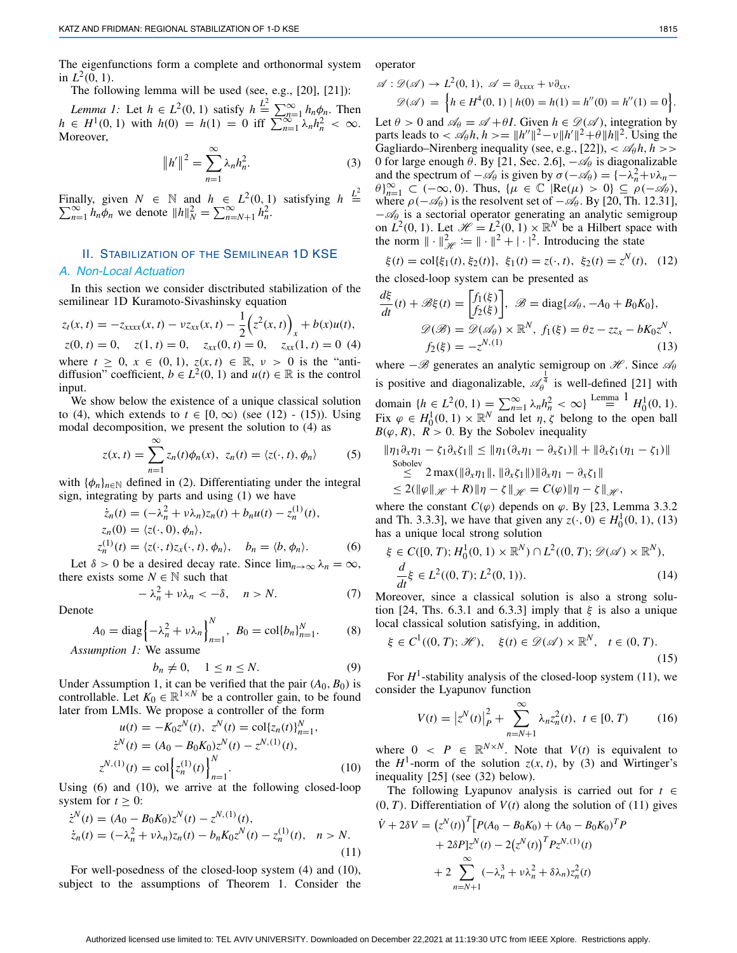The eigenfunctions form a complete and orthonormal system in  $L^2(0, 1)$ .

The following lemma will be used (see, e.g., [\[20\]](#page-5-19), [\[21\]](#page-5-20)):

*Lemma 1:* Let  $h \in L^2(0, 1)$  satisfy  $h \stackrel{L^2}{=} \sum_{n=1}^{\infty} h_n \phi_n$ . Then  $h \in H^1(0, 1)$  with  $h(0) = h(1) = 0$  iff  $\sum_{n=1}^{\infty} \lambda_n h_n^2 < \infty$ . Moreover,

<span id="page-1-8"></span>
$$
||h'||^2 = \sum_{n=1}^{\infty} \lambda_n h_n^2.
$$
 (3)

Finally, given  $N \in \mathbb{N}$  and  $h \in L^2(0, 1)$  satisfying  $h \stackrel{L^2}{=} \sum_{n=1}^{\infty} h_n \phi_n$  we denote  $||h||_N^2 = \sum_{n=N+1}^{\infty} h_n^2$ .  $\sum_{n=1}^{\infty} h_n \phi_n$  we denote  $||h||_N^2 = \sum_{n=N+1}^{\infty} h_n^2$ .

# II. STABILIZATION OF THE SEMILINEAR 1D KSE

# *A. Non-Local Actuation*

In this section we consider disctributed stabilization of the semilinear 1D Kuramoto-Sivashinsky equation

<span id="page-1-0"></span>
$$
z_t(x, t) = -z_{xxxx}(x, t) - \nu z_{xx}(x, t) - \frac{1}{2} \left( z^2(x, t) \right)_x + b(x)u(t),
$$
  
\n
$$
z(0, t) = 0, \quad z(1, t) = 0, \quad z_{xx}(0, t) = 0, \quad z_{xx}(1, t) = 0 \tag{4}
$$

where  $t \geq 0$ ,  $x \in (0, 1)$ ,  $z(x, t) \in \mathbb{R}$ ,  $v > 0$  is the "antidiffusion" coefficient,  $b \in L^2(0, 1)$  and  $u(t) \in \mathbb{R}$  is the control input.

We show below the existence of a unique classical solution to [\(4\)](#page-1-0), which extends to  $t \in [0, \infty)$  (see [\(12\)](#page-1-1) - [\(15\)](#page-1-2)). Using modal decomposition, we present the solution to [\(4\)](#page-1-0) as

$$
z(x, t) = \sum_{n=1}^{\infty} z_n(t)\phi_n(x), \ z_n(t) = \langle z(\cdot, t), \phi_n \rangle \qquad (5)
$$

with  $\{\phi_n\}_{n\in\mathbb{N}}$  defined in [\(2\)](#page-0-0). Differentiating under the integral sign, integrating by parts and using [\(1\)](#page-0-1) we have

<span id="page-1-3"></span>
$$
\dot{z}_n(t) = (-\lambda_n^2 + v\lambda_n)z_n(t) + b_n u(t) - z_n^{(1)}(t),
$$
  
\n
$$
z_n(0) = \langle z(\cdot, 0), \phi_n \rangle,
$$
  
\n
$$
z_n^{(1)}(t) = \langle z(\cdot, t)z_x(\cdot, t), \phi_n \rangle, \quad b_n = \langle b, \phi_n \rangle.
$$
 (6)

Let  $\delta > 0$  be a desired decay rate. Since  $\lim_{n \to \infty} \lambda_n = \infty$ , there exists some  $N \in \mathbb{N}$  such that

<span id="page-1-10"></span>
$$
-\lambda_n^2 + \nu \lambda_n < -\delta, \quad n > N. \tag{7}
$$

Denote

$$
A_0 = \text{diag}\left\{-\lambda_n^2 + \nu \lambda_n\right\}_{n=1}^N, \ B_0 = \text{col}\{b_n\}_{n=1}^N. \tag{8}
$$

*Assumption 1:* We assume

$$
b_n \neq 0, \quad 1 \le n \le N. \tag{9}
$$

Under Assumption 1, it can be verified that the pair  $(A_0, B_0)$  is controllable. Let  $K_0 \in \mathbb{R}^{1 \times N}$  be a controller gain, to be found later from LMIs. We propose a controller of the form

<span id="page-1-4"></span>
$$
u(t) = -K_0 z^N(t), \ z^N(t) = \text{col}\{z_n(t)\}_{n=1}^N,
$$
  
\n
$$
\dot{z}^N(t) = (A_0 - B_0 K_0) z^N(t) - z^{N,(1)}(t),
$$
  
\n
$$
z^{N,(1)}(t) = \text{col}\left\{z_n^{(1)}(t)\right\}_{n=1}^N.
$$
\n(10)

Using [\(6\)](#page-1-3) and [\(10\)](#page-1-4), we arrive at the following closed-loop system for  $t \geq 0$ :

<span id="page-1-7"></span>
$$
\dot{z}^{N}(t) = (A_{0} - B_{0}K_{0})z^{N}(t) - z^{N,(1)}(t), \n\dot{z}_{n}(t) = (-\lambda_{n}^{2} + \nu \lambda_{n})z_{n}(t) - b_{n}K_{0}z^{N}(t) - z_{n}^{(1)}(t), \quad n > N.
$$
\n(11)

For well-posedness of the closed-loop system [\(4\)](#page-1-0) and [\(10\)](#page-1-4), subject to the assumptions of Theorem [1.](#page-2-0) Consider the operator

<span id="page-1-5"></span>
$$
\mathscr{A}: \mathscr{D}(\mathscr{A}) \to L^2(0, 1), \ \mathscr{A} = \partial_{xxxx} + \nu \partial_{xx},
$$
  

$$
\mathscr{D}(\mathscr{A}) = \left\{ h \in H^4(0, 1) \mid h(0) = h(1) = h''(0) = h''(1) = 0 \right\}.
$$

Let  $\theta > 0$  and  $\mathcal{A}_{\theta} = \mathcal{A} + \theta I$ . Given  $h \in \mathcal{D}(\mathcal{A})$ , integration by parts leads to  $\langle \mathcal{A}_{\theta} h, h \rangle = ||h''||^2 - \nu ||h'||^2 + \theta ||h||^2$ . Using the Gagliardo–Nirenberg inequality (see, e.g., [\[22\]](#page-5-21)),  $\langle \mathcal{A}_{\theta} h, h \rangle$ 0 for large enough  $\theta$ . By [\[21,](#page-5-20) Sec. 2.6],  $-\mathscr{A}_{\theta}$  is diagonalizable and the spectrum of  $-\mathcal{A}_{\theta}$  is given by  $\sigma(-\mathcal{A}_{\theta}) = \{-\lambda_n^2 + v\lambda_n \theta$ <sub>*n*=1</sub>  $\subset$  (-∞, 0). Thus, { $\mu \in \mathbb{C}$  [Re( $\mu$ ) > 0)  $\subseteq \rho(-\mathcal{A}_{\theta})$ , where  $\rho(-\mathcal{A}_{\theta})$  is the resolvent set of  $-\mathcal{A}_{\theta}$ . By [\[20,](#page-5-19) Th. 12.31],  $-\mathscr{A}_{\theta}$  is a sectorial operator generating an analytic semigroup on  $L^2(0, 1)$ . Let  $\mathcal{H} = L^2(0, 1) \times \mathbb{R}^N$  be a Hilbert space with the norm  $\|\cdot\|_{\mathcal{H}}^2 := \|\cdot\|^2 + |\cdot|^2$ . Introducing the state

<span id="page-1-1"></span>
$$
\xi(t) = \text{col}\{\xi_1(t), \xi_2(t)\}, \ \xi_1(t) = z(\cdot, t), \ \xi_2(t) = z^N(t), \ \ (12)
$$

the closed-loop system can be presented as  $\overline{a}$ 

<span id="page-1-6"></span>
$$
\frac{d\xi}{dt}(t) + \mathcal{B}\xi(t) = \begin{bmatrix} f_1(\xi) \\ f_2(\xi) \end{bmatrix}, \ \mathcal{B} = \text{diag}\{\mathcal{A}_{\theta}, -A_0 + B_0 K_0\},
$$

$$
\mathcal{D}(\mathcal{B}) = \mathcal{D}(\mathcal{A}_{\theta}) \times \mathbb{R}^N, \ f_1(\xi) = \theta z - z z_x - b K_0 z^N,
$$

$$
f_2(\xi) = -z^{N, (1)} \tag{13}
$$

where  $-\mathscr{B}$  generates an analytic semigroup on  $\mathscr{H}$ . Since  $\mathscr{A}_{\theta}$ is positive and diagonalizable,  $\mathcal{A}_{\theta}^{\frac{1}{4}}$  is well-defined [\[21\]](#page-5-20) with domain  $\{h \in L^2(0, 1) = \sum_{n=1}^{\infty} \lambda_n h_n^2 < \infty\}$  $\{h \in L^2(0, 1) = \sum_{n=1}^{\infty} \lambda_n h_n^2 < \infty\}$  $\{h \in L^2(0, 1) = \sum_{n=1}^{\infty} \lambda_n h_n^2 < \infty\}$  Lemma  $\frac{1}{h} H_0^1(0, 1)$ . Fix  $\varphi \in H_0^1(0, 1) \times \mathbb{R}^N$  and let  $\eta, \zeta$  belong to the open ball  $B(\varphi, R)$ ,  $\tilde{R} > 0$ . By the Sobolev inequality

$$
\|\eta_1 \partial_x \eta_1 - \zeta_1 \partial_x \zeta_1\| \le \|\eta_1 (\partial_x \eta_1 - \partial_x \zeta_1)\| + \|\partial_x \zeta_1 (\eta_1 - \zeta_1)\|
$$
  
\nSobolev  
\n
$$
\le 2 \max(\|\partial_x \eta_1\|, \|\partial_x \zeta_1\|)\|\partial_x \eta_1 - \partial_x \zeta_1\|
$$
  
\n
$$
\le 2(\|\varphi\|_{\mathcal{H}} + R)\|\eta - \zeta\|_{\mathcal{H}} = C(\varphi)\|\eta - \zeta\|_{\mathcal{H}},
$$

where the constant  $C(\varphi)$  depends on  $\varphi$ . By [\[23,](#page-5-22) Lemma 3.3.2 and Th. 3.3.3], we have that given any  $z(\cdot, 0) \in H_0^1(0, 1)$ , [\(13\)](#page-1-6) has a unique local strong solution

$$
\xi \in C([0, T); H_0^1(0, 1) \times \mathbb{R}^N) \cap L^2((0, T); \mathcal{D}(\mathcal{A}) \times \mathbb{R}^N),
$$
  

$$
\frac{d}{dt}\xi \in L^2((0, T); L^2(0, 1)).
$$
 (14)

Moreover, since a classical solution is also a strong solu-tion [\[24,](#page-5-23) Ths. 6.3.1 and 6.3.3] imply that  $\xi$  is also a unique local classical solution satisfying, in addition,

<span id="page-1-2"></span>
$$
\xi \in C^1((0,T); \mathcal{H}), \quad \xi(t) \in \mathcal{D}(\mathcal{A}) \times \mathbb{R}^N, \quad t \in (0,T). \tag{15}
$$

For  $H^1$ -stability analysis of the closed-loop system [\(11\)](#page-1-7), we consider the Lyapunov function

<span id="page-1-11"></span>
$$
V(t) = |z^N(t)|_P^2 + \sum_{n=N+1}^{\infty} \lambda_n z_n^2(t), \ t \in [0, T)
$$
 (16)

where  $0 \leq P \in \mathbb{R}^{N \times N}$ . Note that  $V(t)$  is equivalent to the  $H^1$ -norm of the solution  $z(x, t)$ , by [\(3\)](#page-1-8) and Wirtinger's inequality [\[25\]](#page-5-24) (see [\(32\)](#page-2-1) below).

The following Lyapunov analysis is carried out for *t* ∈  $(0, T)$ . Differentiation of  $V(t)$  along the solution of  $(11)$  gives

<span id="page-1-9"></span>
$$
\dot{V} + 2\delta V = (z^N(t))^T [P(A_0 - B_0K_0) + (A_0 - B_0K_0)^T P \n+ 2\delta P]z^N(t) - 2(z^N(t))^T P z^{N,(1)}(t) \n+ 2 \sum_{n=N+1}^{\infty} (-\lambda_n^3 + v\lambda_n^2 + \delta\lambda_n) z_n^2(t)
$$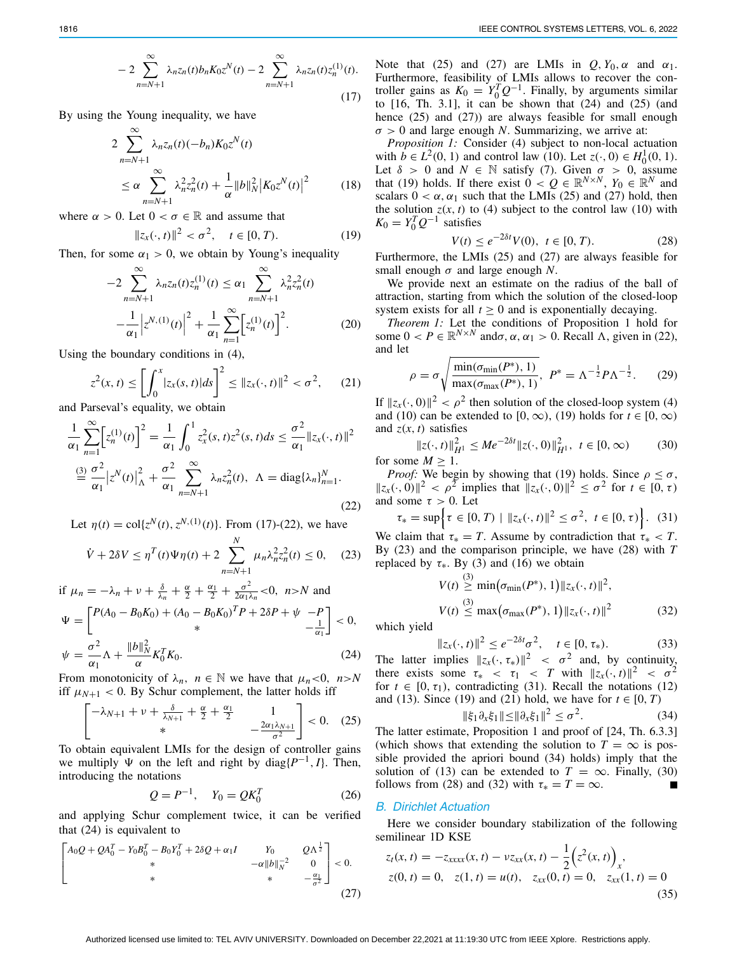$$
-2\sum_{n=N+1}^{\infty} \lambda_n z_n(t) b_n K_0 z^N(t) - 2 \sum_{n=N+1}^{\infty} \lambda_n z_n(t) z_n^{(1)}(t).
$$
\n(17)

By using the Young inequality, we have

<span id="page-2-15"></span>
$$
2\sum_{n=N+1}^{\infty} \lambda_n z_n(t) (-b_n) K_0 z^N(t)
$$
  
\n
$$
\leq \alpha \sum_{n=N+1}^{\infty} \lambda_n^2 z_n^2(t) + \frac{1}{\alpha} ||b||_N^2 |K_0 z^N(t)|^2
$$
 (18)

where  $\alpha > 0$ . Let  $0 < \sigma \in \mathbb{R}$  and assume that

<span id="page-2-6"></span>
$$
||z_x(\cdot, t)||^2 < \sigma^2, \quad t \in [0, T). \tag{19}
$$

Then, for some  $\alpha_1 > 0$ , we obtain by Young's inequality

$$
-2\sum_{n=N+1}^{\infty} \lambda_n z_n(t) z_n^{(1)}(t) \le \alpha_1 \sum_{n=N+1}^{\infty} \lambda_n^2 z_n^2(t)
$$

$$
-\frac{1}{\alpha_1} |z^{N,(1)}(t)|^2 + \frac{1}{\alpha_1} \sum_{n=1}^{\infty} [z_n^{(1)}(t)]^2.
$$
(20)

Using the boundary conditions in [\(4\)](#page-1-0),

<span id="page-2-10"></span>
$$
z^{2}(x,t) \le \left[ \int_{0}^{x} |z_{x}(s,t)| ds \right]^{2} \le ||z_{x}(\cdot,t)||^{2} < \sigma^{2}, \qquad (21)
$$

and Parseval's equality, we obtain

<span id="page-2-2"></span>
$$
\frac{1}{\alpha_1} \sum_{n=1}^{\infty} \left[ z_n^{(1)}(t) \right]^2 = \frac{1}{\alpha_1} \int_0^1 z_x^2(s, t) z^2(s, t) ds \le \frac{\sigma^2}{\alpha_1} \| z_x(\cdot, t) \|^2
$$
  

$$
\stackrel{\text{(3)}}{=} \frac{\sigma^2}{\alpha_1} \left| z^N(t) \right|_0^2 + \frac{\sigma^2}{\alpha_1} \sum_{n=N+1}^{\infty} \lambda_n z_n^2(t), \ \Lambda = \text{diag}\{\lambda_n\}_{n=1}^N. \tag{22}
$$

Let  $\eta(t) = \text{col}\{z^N(t), z^{N,(1)}(t)\}\$ . From [\(17\)](#page-1-9)-[\(22\)](#page-2-2), we have

<span id="page-2-7"></span>
$$
\dot{V} + 2\delta V \le \eta^T(t)\Psi\eta(t) + 2\sum_{n=N+1}^{N} \mu_n \lambda_n^2 z_n^2(t) \le 0, \quad (23)
$$

<span id="page-2-3"></span>if 
$$
\mu_n = -\lambda_n + \nu + \frac{\delta}{\lambda_n} + \frac{\alpha}{2} + \frac{\alpha_1}{2} + \frac{\sigma^2}{2\alpha_1\lambda_n} < 0
$$
,  $n > N$  and  
\n
$$
\Psi = \begin{bmatrix} P(A_0 - B_0 K_0) + (A_0 - B_0 K_0)^T P + 2\delta P + \psi & -P \\ * & * & -\frac{1}{\alpha_1} \end{bmatrix} < 0,
$$
\n
$$
\psi = \frac{\sigma^2}{\alpha_1} \Lambda + \frac{\|b\|_N^2}{\alpha} K_0^T K_0.
$$
\n(24)

From monotonicity of  $\lambda_n$ ,  $n \in \mathbb{N}$  we have that  $\mu_n < 0$ ,  $n > N$ iff  $\mu_{N+1}$  < 0. By Schur complement, the latter holds iff

<span id="page-2-4"></span>
$$
\begin{bmatrix} -\lambda_{N+1} + \nu + \frac{\delta}{\lambda_{N+1}} + \frac{\alpha}{2} + \frac{\alpha_1}{2} & 1\\ * & -\frac{2\alpha_1 \lambda_{N+1}}{\sigma^2} \end{bmatrix} < 0. \quad (25)
$$

To obtain equivalent LMIs for the design of controller gains we multiply  $\Psi$  on the left and right by diag $\{P^{-1}, I\}$ . Then, introducing the notations

<span id="page-2-16"></span>
$$
Q = P^{-1}, \quad Y_0 = QK_0^T \tag{26}
$$

and applying Schur complement twice, it can be verified that [\(24\)](#page-2-3) is equivalent to

<span id="page-2-5"></span>
$$
\begin{bmatrix} A_0 Q + Q A_0^T - Y_0 B_0^T - B_0 Y_0^T + 2\delta Q + \alpha_1 I & Y_0 & Q \Lambda^{\frac{1}{2}} \\ * & -\alpha \|b\|_N^{-2} & 0 \\ * & * & -\frac{\alpha_1}{\sigma^2} \end{bmatrix} < 0.
$$
\n(27)

Note that [\(25\)](#page-2-4) and [\(27\)](#page-2-5) are LMIs in  $Q, Y_0, \alpha$  and  $\alpha_1$ . Furthermore, feasibility of LMIs allows to recover the controller gains as  $K_0 = Y_0^T Q^{-1}$ . Finally, by arguments similar to  $[16, Th. 3.1]$  $[16, Th. 3.1]$ , it can be shown that  $(24)$  and  $(25)$  (and hence [\(25\)](#page-2-4) and [\(27\)](#page-2-5)) are always feasible for small enough  $\sigma > 0$  and large enough *N*. Summarizing, we arrive at:

*Proposition 1:* Consider [\(4\)](#page-1-0) subject to non-local actuation with  $\hat{b} \in L^2(0, 1)$  and control law [\(10\)](#page-1-4). Let  $z(\cdot, 0) \in H_0^1(0, 1)$ . Let  $\delta > 0$  and  $N \in \mathbb{N}$  satisfy [\(7\)](#page-1-10). Given  $\sigma > 0$ , assume that [\(19\)](#page-2-6) holds. If there exist  $0 < Q \in \mathbb{R}^{N \times N}$ ,  $Y_0 \in \mathbb{R}^N$  and scalars  $0 < \alpha$ ,  $\alpha_1$  such that the LMIs [\(25\)](#page-2-4) and [\(27\)](#page-2-5) hold, then the solution  $z(x, t)$  to [\(4\)](#page-1-0) subject to the control law [\(10\)](#page-1-4) with  $K_0 = Y_0^T Q^{-1}$  satisfies

<span id="page-2-8"></span><span id="page-2-0"></span>
$$
V(t) \le e^{-2\delta t} V(0), \ t \in [0, T). \tag{28}
$$

Furthermore, the LMIs [\(25\)](#page-2-4) and [\(27\)](#page-2-5) are always feasible for small enough  $\sigma$  and large enough *N*.

We provide next an estimate on the radius of the ball of attraction, starting from which the solution of the closed-loop system exists for all  $t \geq 0$  and is exponentially decaying.

*Theorem 1:* Let the conditions of Proposition [1](#page-2-0) hold for some  $0 < P \in \mathbb{R}^{N \times N}$  and $\sigma$ ,  $\alpha$ ,  $\alpha_1 > 0$ . Recall  $\Lambda$ , given in [\(22\)](#page-2-2), and let

<span id="page-2-14"></span>
$$
\rho = \sigma \sqrt{\frac{\min(\sigma_{\min}(P^*), 1)}{\max(\sigma_{\max}(P^*), 1)}}, \ P^* = \Lambda^{-\frac{1}{2}} P \Lambda^{-\frac{1}{2}}.
$$
 (29)

If  $||z_x(\cdot, 0)||^2 < \rho^2$  then solution of the closed-loop system [\(4\)](#page-1-0) and [\(10\)](#page-1-4) can be extended to [0, ∞), [\(19\)](#page-2-6) holds for  $t \in [0, \infty)$ and  $z(x, t)$  satisfies

<span id="page-2-12"></span>
$$
||z(\cdot, t)||_{H^1}^2 \le Me^{-2\delta t} ||z(\cdot, 0)||_{H^1}^2, \ t \in [0, \infty)
$$
 (30)  
for some  $M \ge 1$ .

*Proof:* We begin by showing that [\(19\)](#page-2-6) holds. Since  $\rho \leq \sigma$ ,  $||z_x(\cdot, 0)||^2 < \rho^2$  implies that  $||z_x(\cdot, 0)||^2 \le \sigma^2$  for  $t \in [0, \tau)$ and some  $\tau > 0$ . Let

<span id="page-2-9"></span>
$$
\tau_* = \sup \Big\{ \tau \in [0, T) \mid \|z_x(\cdot, t)\|^2 \le \sigma^2, \ t \in [0, \tau) \Big\}. \tag{31}
$$

We claim that  $\tau_* = T$ . Assume by contradiction that  $\tau_* < T$ . By [\(23\)](#page-2-7) and the comparison principle, we have [\(28\)](#page-2-8) with *T* replaced by  $\tau_{*}$ . By [\(3\)](#page-1-8) and [\(16\)](#page-1-11) we obtain

<span id="page-2-1"></span>
$$
V(t) \geq \min(\sigma_{\min}(P^*), 1) \|z_x(\cdot, t)\|^2,
$$
  
\n
$$
V(t) \leq \max(\sigma_{\max}(P^*), 1) \|z_x(\cdot, t)\|^2
$$
\n(32)

which yield

$$
||z_x(\cdot, t)||^2 \le e^{-2\delta t} \sigma^2, \quad t \in [0, \tau_*). \tag{33}
$$

The latter implies  $||z_x(\cdot, \tau_*)||^2 < \sigma^2$  and, by continuity, there exists some  $\tau_* < \tau_1 < T$  with  $||z_x(\cdot, t)||^2 < \sigma^2$ for  $t \in [0, \tau_1)$ , contradicting [\(31\)](#page-2-9). Recall the notations [\(12\)](#page-1-1) and [\(13\)](#page-1-6). Since [\(19\)](#page-2-6) and [\(21\)](#page-2-10) hold, we have for  $t \in [0, T)$ 

<span id="page-2-11"></span>
$$
\|\xi_1 \partial_x \xi_1\| \le \|\partial_x \xi_1\|^2 \le \sigma^2. \tag{34}
$$

The latter estimate, Proposition [1](#page-2-0) and proof of [\[24,](#page-5-23) Th. 6.3.3] (which shows that extending the solution to  $T = \infty$  is possible provided the apriori bound [\(34\)](#page-2-11) holds) imply that the solution of [\(13\)](#page-1-6) can be extended to  $T = \infty$ . Finally, [\(30\)](#page-2-12) follows from [\(28\)](#page-2-8) and [\(32\)](#page-2-1) with  $\tau_* = T = \infty$ .

### *B. Dirichlet Actuation*

Here we consider boundary stabilization of the following semilinear 1D KSE

<span id="page-2-13"></span>
$$
z_t(x, t) = -z_{xxxx}(x, t) - \nu z_{xx}(x, t) - \frac{1}{2} \left( z^2(x, t) \right)_x,
$$
  
\n
$$
z(0, t) = 0, \quad z(1, t) = u(t), \quad z_{xx}(0, t) = 0, \quad z_{xx}(1, t) = 0
$$
\n(35)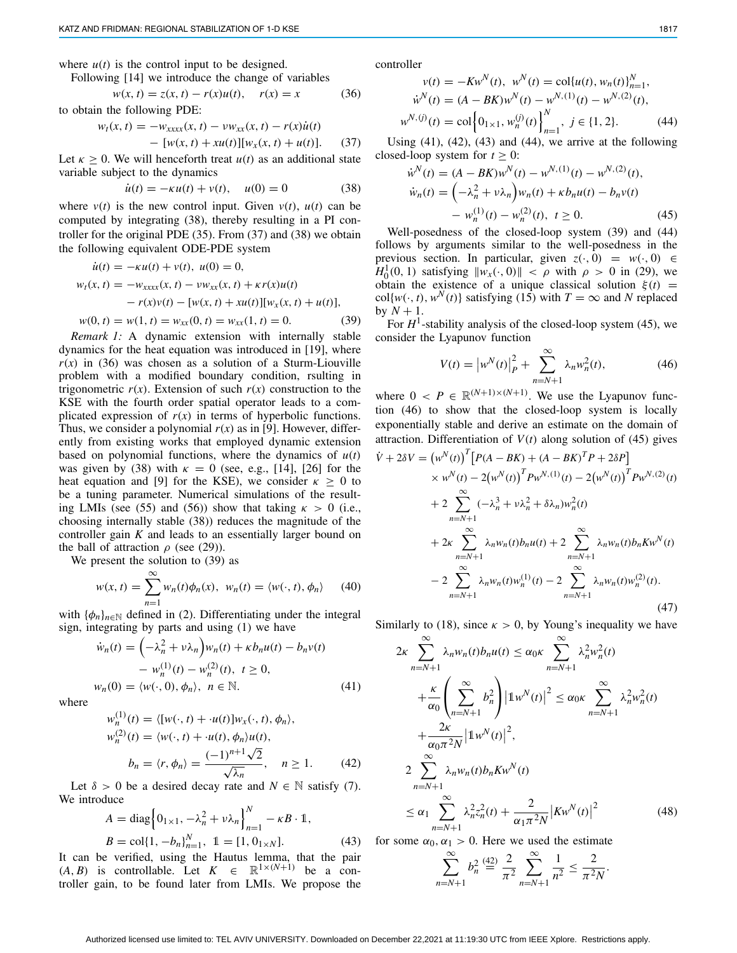where  $u(t)$  is the control input to be designed.

Following [\[14\]](#page-5-13) we introduce the change of variables

<span id="page-3-2"></span>
$$
w(x, t) = z(x, t) - r(x)u(t), \quad r(x) = x \tag{36}
$$

to obtain the following PDE:

<span id="page-3-1"></span>
$$
w_t(x, t) = -w_{xxxx}(x, t) - vw_{xx}(x, t) - r(x)\dot{u}(t)
$$
  
- [w(x, t) + xu(t)][w\_x(x, t) + u(t)]. (37)

Let  $\kappa \geq 0$ . We will henceforth treat  $u(t)$  as an additional state variable subject to the dynamics

<span id="page-3-0"></span>
$$
\dot{u}(t) = -\kappa u(t) + v(t), \quad u(0) = 0 \tag{38}
$$

where  $v(t)$  is the new control input. Given  $v(t)$ ,  $u(t)$  can be computed by integrating [\(38\)](#page-3-0), thereby resulting in a PI controller for the original PDE [\(35\)](#page-2-13). From [\(37\)](#page-3-1) and [\(38\)](#page-3-0) we obtain the following equivalent ODE-PDE system

<span id="page-3-3"></span>
$$
\dot{u}(t) = -\kappa u(t) + v(t), \ u(0) = 0,
$$
  
\n
$$
w_t(x, t) = -w_{xxxx}(x, t) - v_{xx}(x, t) + \kappa r(x)u(t)
$$
  
\n
$$
-r(x)v(t) - [w(x, t) + xu(t)][w_x(x, t) + u(t)],
$$
  
\n
$$
w(0, t) = w(1, t) = w_{xx}(0, t) = w_{xx}(1, t) = 0.
$$
 (39)

*Remark 1:* A dynamic extension with internally stable dynamics for the heat equation was introduced in [\[19\]](#page-5-18), where  $r(x)$  in [\(36\)](#page-3-2) was chosen as a solution of a Sturm-Liouville problem with a modified boundary condition, rsulting in trigonometric  $r(x)$ . Extension of such  $r(x)$  construction to the KSE with the fourth order spatial operator leads to a complicated expression of  $r(x)$  in terms of hyperbolic functions. Thus, we consider a polynomial  $r(x)$  as in [\[9\]](#page-5-8). However, differently from existing works that employed dynamic extension based on polynomial functions, where the dynamics of  $u(t)$ was given by [\(38\)](#page-3-0) with  $\kappa = 0$  (see, e.g., [\[14\]](#page-5-13), [\[26\]](#page-5-25) for the heat equation and [\[9\]](#page-5-8) for the KSE), we consider  $\kappa \geq 0$  to be a tuning parameter. Numerical simulations of the result-ing LMIs (see [\(55\)](#page-4-0) and [\(56\)](#page-4-1)) show that taking  $\kappa > 0$  (i.e., choosing internally stable [\(38\)](#page-3-0)) reduces the magnitude of the controller gain *K* and leads to an essentially larger bound on the ball of attraction  $\rho$  (see [\(29\)](#page-2-14)).

We present the solution to [\(39\)](#page-3-3) as

$$
w(x,t) = \sum_{n=1}^{\infty} w_n(t)\phi_n(x), \ w_n(t) = \langle w(\cdot, t), \phi_n \rangle \qquad (40)
$$

with  $\{\phi_n\}_{n\in\mathbb{N}}$  defined in [\(2\)](#page-0-0). Differentiating under the integral sign, integrating by parts and using [\(1\)](#page-0-1) we have

<span id="page-3-4"></span>
$$
\dot{w}_n(t) = \left(-\lambda_n^2 + v\lambda_n\right) w_n(t) + \kappa b_n u(t) - b_n v(t)
$$

$$
- w_n^{(1)}(t) - w_n^{(2)}(t), \ t \ge 0,
$$

$$
w_n(0) = \langle w(\cdot, 0), \phi_n \rangle, \ n \in \mathbb{N}.
$$
 (41)

where

<span id="page-3-5"></span>
$$
w_n^{(1)}(t) = \langle [w(\cdot, t) + u(t)]w_x(\cdot, t), \phi_n \rangle,
$$
  
\n
$$
w_n^{(2)}(t) = \langle w(\cdot, t) + u(t), \phi_n \rangle u(t),
$$
  
\n
$$
b_n = \langle r, \phi_n \rangle = \frac{(-1)^{n+1}\sqrt{2}}{\sqrt{\lambda_n}}, \quad n \ge 1.
$$
 (42)

Let  $\delta > 0$  be a desired decay rate and  $N \in \mathbb{N}$  satisfy [\(7\)](#page-1-10). We introduce

<span id="page-3-6"></span>
$$
A = \text{diag}\left\{0_{1\times1}, -\lambda_n^2 + \nu \lambda_n\right\}_{n=1}^N - \kappa B \cdot 1,
$$
  
\n
$$
B = \text{col}\left\{1, -b_n\right\}_{n=1}^N, \quad 1 = [1, 0_{1\times N}].
$$
 (43)

It can be verified, using the Hautus lemma, that the pair  $(A, B)$  is controllable. Let  $K \in \mathbb{R}^{1 \times (N+1)}$  be a controller gain, to be found later from LMIs. We propose the controller

<span id="page-3-7"></span>
$$
v(t) = -Kw^{N}(t), \quad w^{N}(t) = \text{col}\{u(t), w_{n}(t)\}_{n=1}^{N},
$$

$$
\dot{w}^{N}(t) = (A - BK)w^{N}(t) - w^{N,(1)}(t) - w^{N,(2)}(t),
$$

$$
w^{N,(j)}(t) = \text{col}\left\{0_{1\times 1}, w_{n}^{(j)}(t)\right\}_{n=1}^{N}, \quad j \in \{1, 2\}.
$$
 (44)

Using  $(41)$ ,  $(42)$ ,  $(43)$  and  $(44)$ , we arrive at the following closed-loop system for  $t > 0$ :

<span id="page-3-8"></span>
$$
\dot{w}^N(t) = (A - BK)w^N(t) - w^{N,(1)}(t) - w^{N,(2)}(t),
$$
  
\n
$$
\dot{w}_n(t) = \left(-\lambda_n^2 + v\lambda_n\right)w_n(t) + \kappa b_n u(t) - b_n v(t) - w_n^{(1)}(t) - w_n^{(2)}(t), \ t \ge 0.
$$
\n(45)

Well-posedness of the closed-loop system [\(39\)](#page-3-3) and [\(44\)](#page-3-7) follows by arguments similar to the well-posedness in the previous section. In particular, given  $z(\cdot, 0) = w(\cdot, 0) \in$  $H_0^1(0, 1)$  satisfying  $\|w_x(\cdot, 0)\| < \rho$  with  $\rho > 0$  in [\(29\)](#page-2-14), we obtain the existence of a unique classical solution  $\xi(t)$  =  $col{w(\cdot, t), w^N(t)}$  satisfying [\(15\)](#page-1-2) with  $T = \infty$  and *N* replaced by  $N + 1$ .

For  $H^1$ -stability analysis of the closed-loop system [\(45\)](#page-3-8), we consider the Lyapunov function

<span id="page-3-9"></span>
$$
V(t) = |w^N(t)|_P^2 + \sum_{n=N+1}^{\infty} \lambda_n w_n^2(t),
$$
 (46)

where  $0 \le P \in \mathbb{R}^{(N+1)\times(N+1)}$ . We use the Lyapunov function [\(46\)](#page-3-9) to show that the closed-loop system is locally exponentially stable and derive an estimate on the domain of attraction. Differentiation of  $V(t)$  along solution of [\(45\)](#page-3-8) gives

<span id="page-3-10"></span>
$$
\dot{V} + 2\delta V = (w^N(t))^T [P(A - BK) + (A - BK)^T P + 2\delta P] \times w^N(t) - 2(w^N(t))^T P w^{N, (1)}(t) - 2(w^N(t))^T P w^{N, (2)}(t) \n+ 2 \sum_{n=N+1}^{\infty} (-\lambda_n^3 + v\lambda_n^2 + \delta\lambda_n) w_n^2(t) \n+ 2\kappa \sum_{n=N+1}^{\infty} \lambda_n w_n(t) b_n u(t) + 2 \sum_{n=N+1}^{\infty} \lambda_n w_n(t) b_n K w^N(t) \n- 2 \sum_{n=N+1}^{\infty} \lambda_n w_n(t) w_n^{(1)}(t) - 2 \sum_{n=N+1}^{\infty} \lambda_n w_n(t) w_n^{(2)}(t).
$$
\n(47)

Similarly to [\(18\)](#page-2-15), since  $\kappa > 0$ , by Young's inequality we have

$$
2\kappa \sum_{n=N+1}^{\infty} \lambda_n w_n(t) b_n u(t) \le \alpha_0 \kappa \sum_{n=N+1}^{\infty} \lambda_n^2 w_n^2(t)
$$
  
+ 
$$
\frac{\kappa}{\alpha_0} \left( \sum_{n=N+1}^{\infty} b_n^2 \right) \left| 1 w^N(t) \right|^2 \le \alpha_0 \kappa \sum_{n=N+1}^{\infty} \lambda_n^2 w_n^2(t)
$$
  
+ 
$$
\frac{2\kappa}{\alpha_0 \pi^2 N} \left| 1 w^N(t) \right|^2,
$$
  

$$
2 \sum_{n=N+1}^{\infty} \lambda_n w_n(t) b_n K w^N(t)
$$
  

$$
\le \alpha_1 \sum_{n=N+1}^{\infty} \lambda_n^2 z_n^2(t) + \frac{2}{\alpha_1 \pi^2 N} \left| K w^N(t) \right|^2
$$
(48)

for some  $\alpha_0, \alpha_1 > 0$ . Here we used the estimate

$$
\sum_{n=N+1}^{\infty} b_n^2 \stackrel{(42)}{=} \frac{2}{\pi^2} \sum_{n=N+1}^{\infty} \frac{1}{n^2} \le \frac{2}{\pi^2 N}.
$$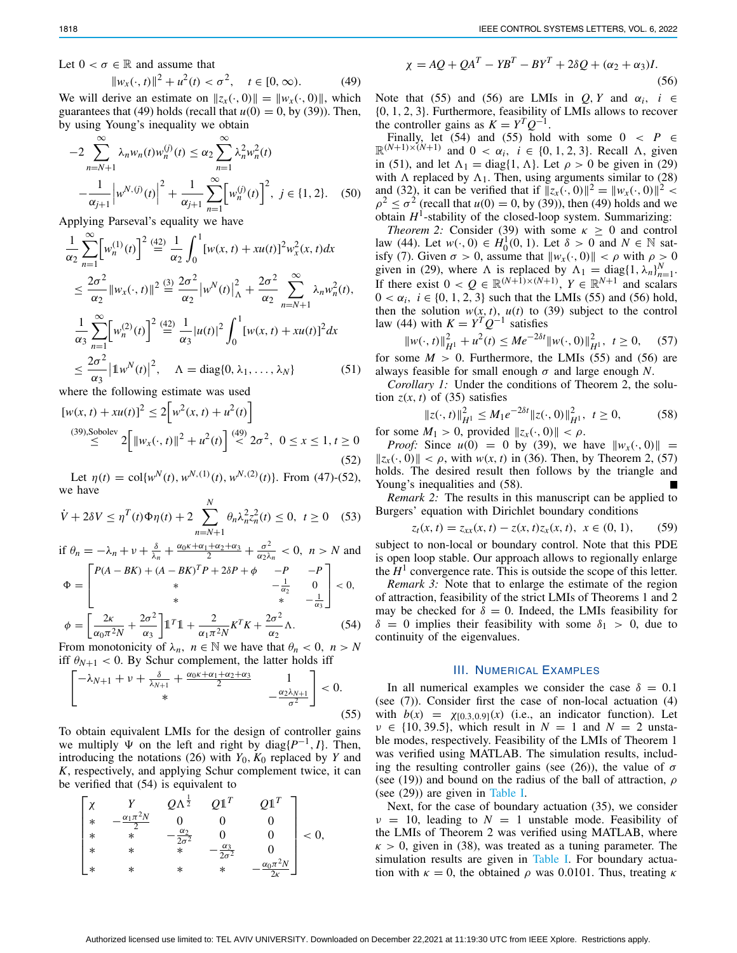Let  $0 < \sigma \in \mathbb{R}$  and assume that

<span id="page-4-2"></span>
$$
||w_x(\cdot, t)||^2 + u^2(t) < \sigma^2, \quad t \in [0, \infty). \tag{49}
$$

We will derive an estimate on  $||z_x(\cdot, 0)|| = ||w_x(\cdot, 0)||$ , which guarantees that [\(49\)](#page-4-2) holds (recall that  $u(0) = 0$ , by [\(39\)](#page-3-3)). Then, by using Young's inequality we obtain

$$
-2\sum_{n=N+1}^{\infty} \lambda_n w_n(t) w_n^{(j)}(t) \le \alpha_2 \sum_{n=1}^{\infty} \lambda_n^2 w_n^{2}(t)
$$

$$
-\frac{1}{\alpha_{j+1}} \left| w^{N,(j)}(t) \right|^2 + \frac{1}{\alpha_{j+1}} \sum_{n=1}^{\infty} \left[ w_n^{(j)}(t) \right]^2, \ j \in \{1, 2\}. \quad (50)
$$

Applying Parseval's equality we have

<span id="page-4-5"></span>
$$
\frac{1}{\alpha_2} \sum_{n=1}^{\infty} \left[ w_n^{(1)}(t) \right]^2 \stackrel{(42)}{=} \frac{1}{\alpha_2} \int_0^1 [w(x, t) + xu(t)]^2 w_x^2(x, t) dx
$$
  
\n
$$
\leq \frac{2\sigma^2}{\alpha_2} \|w_x(\cdot, t)\|^2 \stackrel{(3)}{=} \frac{2\sigma^2}{\alpha_2} |w^N(t)|_A^2 + \frac{2\sigma^2}{\alpha_2} \sum_{n=N+1}^{\infty} \lambda_n w_n^2(t),
$$
  
\n
$$
\frac{1}{\alpha_3} \sum_{n=1}^{\infty} \left[ w_n^{(2)}(t) \right]^2 \stackrel{(42)}{=} \frac{1}{\alpha_3} |u(t)|^2 \int_0^1 [w(x, t) + xu(t)]^2 dx
$$
  
\n
$$
\leq \frac{2\sigma^2}{\alpha_3} |1 w^N(t)|^2, \quad \Lambda = \text{diag}\{0, \lambda_1, \dots, \lambda_N\} \tag{51}
$$

where the following estimate was used

<span id="page-4-3"></span>
$$
[w(x, t) + xu(t)]^2 \le 2[w^2(x, t) + u^2(t)]
$$
  
(39),Sobolev  

$$
\le 2\Big[\|w_x(\cdot, t)\|^2 + u^2(t)\Big]^{(49)} \le 2\sigma^2, \ 0 \le x \le 1, t \ge 0
$$
  
(52)

Let  $\eta(t) = \text{col}\{w^N(t), w^{N,(1)}(t), w^{N,(2)}(t)\}\$ . From [\(47\)](#page-3-10)-[\(52\)](#page-4-3), we have

$$
\dot{V} + 2\delta V \le \eta^T(t)\Phi\eta(t) + 2\sum_{n=N+1}^{N} \theta_n \lambda_n^2 z_n^2(t) \le 0, \ t \ge 0 \quad (53)
$$

if  $\theta_n = -\lambda_n + \nu + \frac{\delta}{\lambda_n} + \frac{\alpha_0 \kappa + \alpha_1 + \alpha_2 + \alpha_3}{2} + \frac{\sigma^2}{\alpha_2 \lambda_n} < 0$ ,  $n > N$  and

<span id="page-4-4"></span>
$$
\Phi = \begin{bmatrix} P(A - BK) + (A - BK)^T P + 2\delta P + \phi & -P & -P \\ * & -\frac{1}{\alpha_2} & 0 \\ * & * & -\frac{1}{\alpha_3} \end{bmatrix} < 0,
$$
  

$$
\phi = \begin{bmatrix} \frac{2\kappa}{\alpha_3} + \frac{2\sigma^2}{\alpha_3} \end{bmatrix} \mathbb{1}^T \mathbb{1} + \frac{2}{\alpha_3} \frac{\kappa^T K + \frac{2\sigma^2}{\alpha_3}}{\Lambda}.
$$
 (54)

$$
\phi = \left[ \frac{2\kappa}{\alpha_0 \pi^2 N} + \frac{2\sigma}{\alpha_3} \right] \mathbb{1}^T \mathbb{1} + \frac{2}{\alpha_1 \pi^2 N} K^T K + \frac{2\sigma}{\alpha_2} \Lambda. \tag{54}
$$
\nFrom monotonicity of  $\lambda$ ,  $n \in \mathbb{N}$  we have that  $\theta < 0$ ,  $n > N$ .

From monotonicity of  $\lambda_n$ ,  $n \in \mathbb{N}$  we have that  $\theta_n < 0$ ,  $n > N$ iff  $\theta_{N+1}$  < 0. By Schur complement, the latter holds iff

<span id="page-4-0"></span>
$$
\begin{bmatrix}\n-\lambda_{N+1} + \nu + \frac{\delta}{\lambda_{N+1}} + \frac{\alpha_0 \kappa + \alpha_1 + \alpha_2 + \alpha_3}{2} & 1 \\
\ast & -\frac{\alpha_2 \lambda_{N+1}}{\sigma^2}\n\end{bmatrix} < 0.
$$
\n(55)

To obtain equivalent LMIs for the design of controller gains we multiply  $\Psi$  on the left and right by diag $\{P^{-1}, I\}$ . Then, introducing the notations [\(26\)](#page-2-16) with  $Y_0$ ,  $K_0$  replaced by  $Y$  and *K*, respectively, and applying Schur complement twice, it can be verified that [\(54\)](#page-4-4) is equivalent to

<span id="page-4-1"></span>
$$
\begin{bmatrix} \chi & Y & Q\Lambda^{\frac{1}{2}} & Q\mathbb{1}^T & Q\mathbb{1}^T \\ * & -\frac{\alpha_1\pi^2 N}{2} & 0 & 0 & 0 \\ * & * & -\frac{\alpha_2}{2\sigma^2} & 0 & 0 \\ * & * & * & -\frac{\alpha_3}{2\sigma^2} & 0 \\ * & * & * & * & -\frac{\alpha_0\pi^2 N}{2\kappa} \end{bmatrix} < 0,
$$

$$
\chi = AQ + QA^{T} - YB^{T} - BY^{T} + 2\delta Q + (\alpha_{2} + \alpha_{3})I.
$$
\n(56)

Note that [\(55\)](#page-4-0) and [\(56\)](#page-4-1) are LMIs in  $Q, Y$  and  $\alpha_i$ ,  $i \in$ {0, 1, 2, 3}. Furthermore, feasibility of LMIs allows to recover the controller gains as  $K = Y^T Q^{-1}$ .

Finally, let [\(54\)](#page-4-4) and [\(55\)](#page-4-0) hold with some  $0 < P \in$  $\mathbb{R}^{(N+1)\times(N+1)}$  and  $0 < \alpha_i$ ,  $i \in \{0, 1, 2, 3\}$ . Recall  $\Lambda$ , given in [\(51\)](#page-4-5), and let  $\Lambda_1 = \text{diag}\{1, \Lambda\}$ . Let  $\rho > 0$  be given in [\(29\)](#page-2-14) with  $\Lambda$  replaced by  $\Lambda_1$ . Then, using arguments similar to [\(28\)](#page-2-8) and [\(32\)](#page-2-1), it can be verified that if  $||z_x(\cdot, 0)||^2 = ||w_x(\cdot, 0)||^2 <$  $\rho^2 \le \sigma^2$  (recall that  $u(0) = 0$ , by [\(39\)](#page-3-3)), then [\(49\)](#page-4-2) holds and we obtain  $H^1$ -stability of the closed-loop system. Summarizing:

<span id="page-4-6"></span>*Theorem 2:* Consider [\(39\)](#page-3-3) with some  $\kappa \geq 0$  and control law [\(44\)](#page-3-7). Let *w*(⋅, 0) ∈ *H*<sub>0</sub><sup>1</sup>(0, 1). Let  $\delta > 0$  and *N* ∈ N sat-isfy [\(7\)](#page-1-10). Given  $\sigma > 0$ , assume that  $||w_x(\cdot, 0)|| < \rho$  with  $\rho > 0$ given in [\(29\)](#page-2-14), where  $\Lambda$  is replaced by  $\Lambda_1 = \text{diag}\{1, \lambda_n\}_{n=1}^N$ . If there exist  $0 < Q \in \mathbb{R}^{(N+1)\times(N+1)}$ ,  $Y \in \mathbb{R}^{N+1}$  and scalars  $0 < \alpha_i$ ,  $i \in \{0, 1, 2, 3\}$  such that the LMIs [\(55\)](#page-4-0) and [\(56\)](#page-4-1) hold, then the solution  $w(x, t)$ ,  $u(t)$  to [\(39\)](#page-3-3) subject to the control law [\(44\)](#page-3-7) with  $K = Y^T Q^{-1}$  satisfies

<span id="page-4-7"></span>
$$
||w(\cdot, t)||_{H^1}^2 + u^2(t) \le Me^{-2\delta t} ||w(\cdot, 0)||_{H^1}^2, \ t \ge 0, \quad (57)
$$

for some  $M > 0$ . Furthermore, the LMIs [\(55\)](#page-4-0) and [\(56\)](#page-4-1) are always feasible for small enough  $\sigma$  and large enough *N*.

*Corollary 1:* Under the conditions of Theorem [2,](#page-4-6) the solution  $z(x, t)$  of [\(35\)](#page-2-13) satisfies

<span id="page-4-8"></span>
$$
||z(\cdot, t)||_{H^1}^2 \le M_1 e^{-2\delta t} ||z(\cdot, 0)||_{H^1}^2, \ t \ge 0,
$$
  
for some  $M_1 > 0$ , provided  $||z_x(\cdot, 0)|| < \rho$ . (58)

*Proof:* Since  $u(0) = 0$  by [\(39\)](#page-3-3), we have  $||w_x(\cdot, 0)|| =$  $||z_x(\cdot, 0)|| < \rho$ , with  $w(x, t)$  in [\(36\)](#page-3-2). Then, by Theorem [2,](#page-4-6) [\(57\)](#page-4-7) holds. The desired result then follows by the triangle and Young's inequalities and [\(58\)](#page-4-8).

*Remark 2:* The results in this manuscript can be applied to Burgers' equation with Dirichlet boundary conditions

$$
z_t(x, t) = z_{xx}(x, t) - z(x, t)z_x(x, t), \quad x \in (0, 1), \tag{59}
$$

subject to non-local or boundary control. Note that this PDE is open loop stable. Our approach allows to regionally enlarge the  $H<sup>1</sup>$  convergence rate. This is outside the scope of this letter.

*Remark 3:* Note that to enlarge the estimate of the region of attraction, feasibility of the strict LMIs of Theorems [1](#page-2-0) and [2](#page-4-6) may be checked for  $\delta = 0$ . Indeed, the LMIs feasibility for  $\delta = 0$  implies their feasibility with some  $\delta_1 > 0$ , due to continuity of the eigenvalues.

#### III. NUMERICAL EXAMPLES

In all numerical examples we consider the case  $\delta = 0.1$ (see [\(7\)](#page-1-10)). Consider first the case of non-local actuation [\(4\)](#page-1-0) with  $b(x) = \chi_{[0.3,0.9]}(x)$  (i.e., an indicator function). Let  $v \in \{10, 39.5\}$ , which result in  $N = 1$  and  $N = 2$  unstable modes, respectively. Feasibility of the LMIs of Theorem [1](#page-2-0) was verified using MATLAB. The simulation results, includ-ing the resulting controller gains (see [\(26\)](#page-2-16)), the value of  $\sigma$ (see [\(19\)](#page-2-6)) and bound on the radius of the ball of attraction,  $\rho$ (see [\(29\)](#page-2-14)) are given in Table [I.](#page-5-26)

Next, for the case of boundary actuation [\(35\)](#page-2-13), we consider  $v = 10$ , leading to  $N = 1$  unstable mode. Feasibility of the LMIs of Theorem [2](#page-4-6) was verified using MATLAB, where  $\kappa > 0$ , given in [\(38\)](#page-3-0), was treated as a tuning parameter. The simulation results are given in Table [I.](#page-5-26) For boundary actuation with  $\kappa = 0$ , the obtained  $\rho$  was 0.0101. Thus, treating  $\kappa$